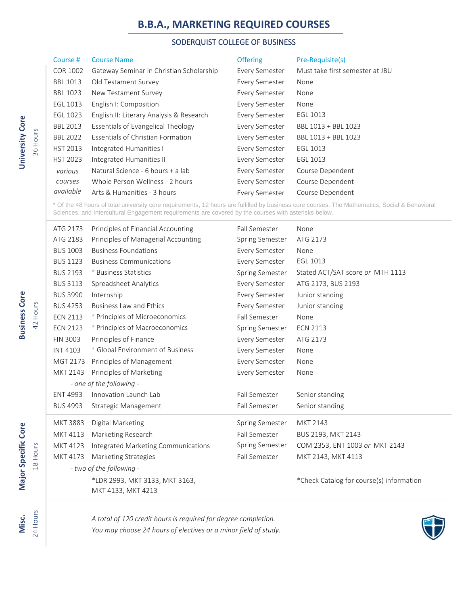# **B.B.A., MARKETING REQUIRED COURSES**

# SODERQUIST COLLEGE OF BUSINESS

| Course #        | <b>Course Name</b>                       | <b>Offering</b> | Pre-Requisite(s)                |
|-----------------|------------------------------------------|-----------------|---------------------------------|
| <b>COR 1002</b> | Gateway Seminar in Christian Scholarship | Every Semester  | Must take first semester at JBU |
| <b>BBL 1013</b> | Old Testament Survey                     | Every Semester  | None                            |
| <b>BBL 1023</b> | New Testament Survey                     | Every Semester  | None                            |
| EGL 1013        | English I: Composition                   | Every Semester  | None                            |
| EGL 1023        | English II: Literary Analysis & Research | Every Semester  | EGL 1013                        |
| <b>BBL 2013</b> | Essentials of Evangelical Theology       | Every Semester  | BBL 1013 + BBL 1023             |
| <b>BBL 2022</b> | Essentials of Christian Formation        | Every Semester  | BBL 1013 + BBL 1023             |
| <b>HST 2013</b> | Integrated Humanities I                  | Every Semester  | EGL 1013                        |
| <b>HST 2023</b> | Integrated Humanities II                 | Every Semester  | EGL 1013                        |
| various         | Natural Science - 6 hours + a lab        | Every Semester  | Course Dependent                |
| courses         | Whole Person Wellness - 2 hours          | Every Semester  | Course Dependent                |
| available       | Arts & Humanities - 3 hours              | Every Semester  | Course Dependent                |
|                 |                                          |                 |                                 |

\* Of the 48 hours of total university core requirements, 12 hours are fulfilled by business core courses. The Mathematics, Social & Behavioral Sciences, and Intercultural Engagement requirements are covered by the courses with asterisks below.

| ATG 2173        | Principles of Financial Accounting  | <b>Fall Semester</b> | None                                     |
|-----------------|-------------------------------------|----------------------|------------------------------------------|
| ATG 2183        | Principles of Managerial Accounting | Spring Semester      | ATG 2173                                 |
| <b>BUS 1003</b> | <b>Business Foundations</b>         | Every Semester       | None                                     |
| <b>BUS 1123</b> | <b>Business Communications</b>      | Every Semester       | EGL 1013                                 |
| <b>BUS 2193</b> | * Business Statistics               | Spring Semester      | Stated ACT/SAT score or MTH 1113         |
| <b>BUS 3113</b> | Spreadsheet Analytics               | Every Semester       | ATG 2173, BUS 2193                       |
| <b>BUS 3990</b> | Internship                          | Every Semester       | Junior standing                          |
| <b>BUS 4253</b> | <b>Business Law and Ethics</b>      | Every Semester       | Junior standing                          |
| <b>ECN 2113</b> | * Principles of Microeconomics      | <b>Fall Semester</b> | None                                     |
| <b>ECN 2123</b> | * Principles of Macroeconomics      | Spring Semester      | <b>ECN 2113</b>                          |
| FIN 3003        | Principles of Finance               | Every Semester       | ATG 2173                                 |
| <b>INT 4103</b> | * Global Environment of Business    | Every Semester       | None                                     |
| MGT 2173        | Principles of Management            | Every Semester       | None                                     |
| <b>MKT 2143</b> | Principles of Marketing             | Every Semester       | None                                     |
|                 | - one of the following -            |                      |                                          |
| <b>ENT 4993</b> | Innovation Launch Lab               | Fall Semester        | Senior standing                          |
| <b>BUS 4993</b> | Strategic Management                | <b>Fall Semester</b> | Senior standing                          |
| <b>MKT 3883</b> | Digital Marketing                   | Spring Semester      | MKT 2143                                 |
| <b>MKT 4113</b> | Marketing Research                  | <b>Fall Semester</b> | BUS 2193, MKT 2143                       |
| MKT 4123        | Integrated Marketing Communications | Spring Semester      | COM 2353, ENT 1003 or MKT 2143           |
| MKT 4173        | Marketing Strategies                | <b>Fall Semester</b> | MKT 2143, MKT 4113                       |
|                 | - two of the following -            |                      |                                          |
|                 | *LDR 2993, MKT 3133, MKT 3163,      |                      | *Check Catalog for course(s) information |
|                 | MKT 4133, MKT 4213                  |                      |                                          |
|                 |                                     |                      |                                          |

*A total of 120 credit hours is required for degree completion. You may choose 24 hours of electives or a minor field of study.*